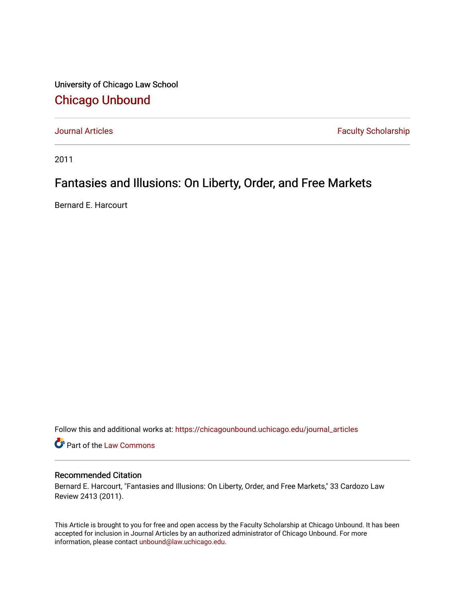University of Chicago Law School [Chicago Unbound](https://chicagounbound.uchicago.edu/)

[Journal Articles](https://chicagounbound.uchicago.edu/journal_articles) **Faculty Scholarship Faculty Scholarship** 

2011

# Fantasies and Illusions: On Liberty, Order, and Free Markets

Bernard E. Harcourt

Follow this and additional works at: [https://chicagounbound.uchicago.edu/journal\\_articles](https://chicagounbound.uchicago.edu/journal_articles?utm_source=chicagounbound.uchicago.edu%2Fjournal_articles%2F1468&utm_medium=PDF&utm_campaign=PDFCoverPages) 

Part of the [Law Commons](http://network.bepress.com/hgg/discipline/578?utm_source=chicagounbound.uchicago.edu%2Fjournal_articles%2F1468&utm_medium=PDF&utm_campaign=PDFCoverPages)

### Recommended Citation

Bernard E. Harcourt, "Fantasies and Illusions: On Liberty, Order, and Free Markets," 33 Cardozo Law Review 2413 (2011).

This Article is brought to you for free and open access by the Faculty Scholarship at Chicago Unbound. It has been accepted for inclusion in Journal Articles by an authorized administrator of Chicago Unbound. For more information, please contact [unbound@law.uchicago.edu](mailto:unbound@law.uchicago.edu).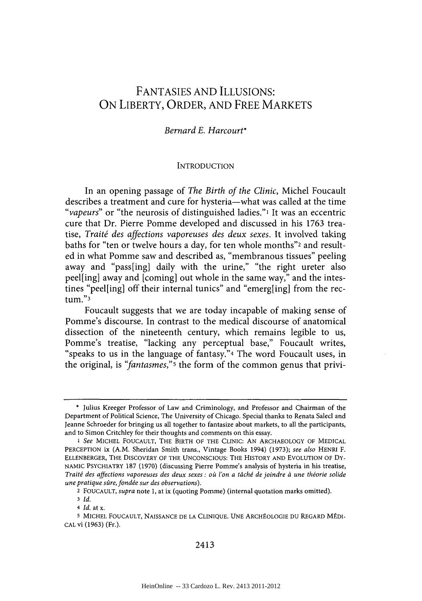## **FANTASIES AND ILLUSIONS: ON** LIBERTY, ORDER, **AND** FREE MARKETS

## *Bernard E. Harcourt\**

#### **INTRODUCTION**

In an opening passage of *The Birth of the Clinic,* Michel Foucault describes a treatment and cure for hysteria-what was called at the time *"vapeurs"* or "the neurosis of distinguished ladies."<sup>1</sup> It was an eccentric cure that Dr. Pierre Pomme developed and discussed in his **1763** treatise, *Traiti des affections vaporeuses des deux sexes.* It involved taking baths for "ten or twelve hours a day, for ten whole months"2 and resulted in what Pomme saw and described as, "membranous tissues" peeling away and "pass[ing] daily with the urine," "the right ureter also peel[ing] away and [coming] out whole in the same way," and the intestines "peel[ing] off their internal tunics" and "emerg[ing] from the rectum."3

Foucault suggests that we are today incapable of making sense of Pomme's discourse. In contrast to the medical discourse of anatomical dissection of the nineteenth century, which remains legible to us, Pomme's treatise, "lacking any perceptual base," Foucault writes, "speaks to us in the language of fantasy."4 The word Foucault uses, in the original, is *"fantasmes,"5* the form of the common genus that privi-

**<sup>\*</sup>** Julius Kreeger Professor of Law and Criminology, and Professor and Chairman of the Department of Political Science, The University of Chicago. Special thanks to Renata Salecl and Jeanne Schroeder for bringing us all together to fantasize about markets, to all the participants, and to Simon Critchley for their thoughts and comments on this essay.

<sup>1</sup> See MICHEL FOUCAULT, THE BIRTH OF THE CLINIC: **AN** ARCHAEOLOGY OF **MEDICAL** PERCEPTION ix (A.M. Sheridan Smith trans., Vintage Books 1994) **(1973);** *see also* HENRI F. ELLENBERGER, THE DISCOVERY OF THE UNCONSCIOUS: THE HISTORY **AND EVOLUTION** OF **DY-NAMIC** PSYCHIATRY **187 (1970)** (discussing Pierre Pomme's analysis of hysteria in his treatise, *Traitd des affections vaporeuses des deux sexes: oi l'on a tdchi de joindre d une thdorie solide une pratique sûre, fondée sur des observations).* 

<sup>2</sup> **FOUCAULT,** *supra* note **1,** at ix (quoting Pomme) (internal quotation marks omitted).

**<sup>3</sup>** *Id.*

<sup>4</sup> *Id.* at x.

**<sup>5</sup>** MICHEL FOUCAULT, **NAISSANCE DE LA CLINIQUE. UNE** ARCH OLOGIE **DU** REGARD MWDI-**CAL** vi **(1963)** (Fr.).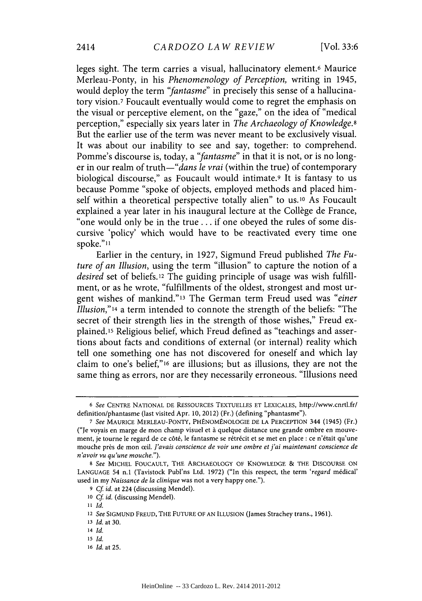leges sight. The term carries a visual, hallucinatory element.6 Maurice Merleau-Ponty, in his *Phenomenology of Perception,* writing in 1945, would deploy the term *"fantasme"* in precisely this sense of a hallucinatory vision.7 Foucault eventually would come to regret the emphasis on the visual or perceptive element, on the "gaze," on the idea of "medical perception," especially six years later in *The Archaeology of Knowledge.8* But the earlier use of the term was never meant to be exclusively visual. It was about our inability to see and say, together: to comprehend. Pomme's discourse is, today, a *"fantasme"* in that it is not, or is no longer in our realm of *truth-"dans le vrai* (within the true) of contemporary biological discourse," as Foucault would intimate.9 It is fantasy to **us** because Pomme "spoke of objects, employed methods and placed himself within a theoretical perspective totally alien" to us.<sup>10</sup> As Foucault explained a year later in his inaugural lecture at the Collège de France, "one would only be in the true. **..** if one obeyed the rules of some discursive 'policy' which would have to be reactivated every time one spoke."<sup>11</sup>

Earlier in the century, in **1927,** Sigmund Freud published *The Future of an Illusion,* using the term "illusion" to capture the notion of a *desired* set of beliefs. 12 The guiding principle of usage was wish fulfillment, or as he wrote, "fulfillments of the oldest, strongest and most urgent wishes of mankind."3 The German term Freud used was *"einer Illusion,"l4* a term intended to connote the strength of the beliefs: "The secret of their strength lies in the strength of those wishes," Freud explained.15 Religious belief, which Freud defined as "teachings and assertions about facts and conditions of external (or internal) reality which tell one something one has not discovered for oneself and which lay claim to one's belief,"16 are illusions; but as illusions, they are not the same thing as errors, nor are they necessarily erroneous. "Illusions need

*<sup>6</sup> See* **CENTRE NATIONAL DE** RESSOURCES **TEXTUELLES ET** LEXICALES, http://www.cnrtl.fr/ definition/phantasme (last visited Apr. **10,** 2012) (Fr.) (defining "phantasme").

*<sup>7</sup> See* **MAURICE** MERLEAU-PONTY, **PH NOMENOLOGIE DE LA** PERCEPTION 344 (1945) (Fr.) ("Je voyais en marge de mon champ visuel et **A** quelque distance une grande ombre en mouvement, je tourne le regard de ce côté, le fantasme se rétrécit et se met en place : ce n'était qu'une mouche près de mon œil. *J'avais conscience de voir une ombre et j'ai maintenant conscience de n'avoir vu qu'une mouche.").*

*<sup>8</sup> See* **MICHEL FOUCAULT,** THE ARCHAEOLOGY OF **KNOWLEDGE** *&* THE **DISCOURSE ON LANGUAGE** 54 n.1 (Tavistock Publ'ns Ltd. **1972)** ("In this respect, the term *'regard* m6dical' used in my *Naissance de la clinique* was not a very happy one.").

**<sup>9</sup>** *Cf id.* at 224 (discussing Mendel).

**<sup>10</sup>***Cf id.* (discussing Mendel).

**<sup>11</sup>** *Id.*

**<sup>12</sup>***See* **SIGMUND FREUD,** THE **FUTURE** OF **AN ILLUSION** (James Strachey trans., **1961).**

**<sup>13</sup>***Id.* at **30.**

**<sup>14</sup>***Id.*

**<sup>15</sup>***Id.*

**<sup>16</sup>***Id.* at **25.**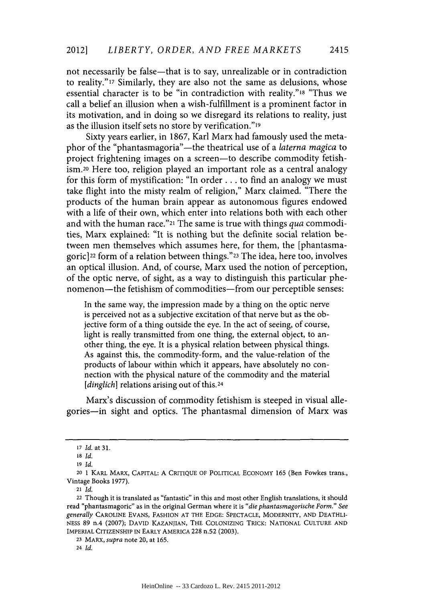not necessarily be false—that is to say, unrealizable or in contradiction to reality."17 Similarly, they are also not the same as delusions, whose essential character is to be "in contradiction with reality."18 "Thus we call a belief an illusion when a wish-fulfillment is a prominent factor in its motivation, and in doing so we disregard its relations to reality, just as the illusion itself sets no store **by** verification."l9

Sixty years earlier, in **1867,** Karl Marx had famously used the metaphor of the "phantasmagoria"-the theatrical use of a *laterna magica* to project frightening images on a screen-to describe commodity fetish**ism.20** Here too, religion played an important role as a central analogy for this form of mystification: "In order **...** to find an analogy we must take flight into the misty realm of religion," Marx claimed. "There the products of the human brain appear as autonomous figures endowed with a life of their own, which enter into relations both with each other and with the human race."21 The same is true with things *qua* commodities, Marx explained: "It is nothing but the definite social relation between men themselves which assumes here, for them, the [phantasmagoric] 22 form of a relation between things."23 The idea, here too, involves an optical illusion. And, of course, Marx used the notion of perception, of the optic nerve, of sight, as a way to distinguish this particular phenomenon—the fetishism of commodities—from our perceptible senses:

In the same way, the impression made **by** a thing on the optic nerve is perceived not as a subjective excitation of that nerve but as the objective form of a thing outside the eye. In the act of seeing, of course, light is really transmitted from one thing, the external object, to another thing, the eye. It is a physical relation between physical things. As against this, the commodity-form, and the value-relation of the products of labour within which it appears, have absolutely no connection with the physical nature of the commodity and the material [*dinglich*] relations arising out of this.<sup>24</sup>

Marx's discussion of commodity fetishism is steeped in visual allegories-in sight and optics. The phantasmal dimension of Marx was

<sup>21</sup>*Id.*

**24** *Id.*

*<sup>17</sup>Id. at* **31.**

**<sup>18</sup>***Id.*

**<sup>19</sup>** *Id.*

<sup>20</sup>**1** KARL MARX, CAPITAL: **A** CRITIQUE OF POLITICAL **ECONOMY 165** (Ben Fowkes trans., Vintage Books **1977).**

<sup>22</sup> Though it is translated as "fantastic" in this and most other English translations, it should read "phantasmagoric" as in the original German where it is *"die phantasmagorische Form." See generally* **CAROLINE EVANS,** FASHION **AT** THE **EDGE: SPECTACLE,** MODERNITY, **AND DEATHLI-**NESS **89** n.4 **(2007); DAVID** KAZANJIAN, THE COLONIZING TRICK: **NATIONAL CULTURE AND** IMPERIAL CITIZENSHIP **IN** EARLY AMERICA **228** n.52 **(2003).**

**<sup>23</sup>***MARX,supra* note 20, at **165.**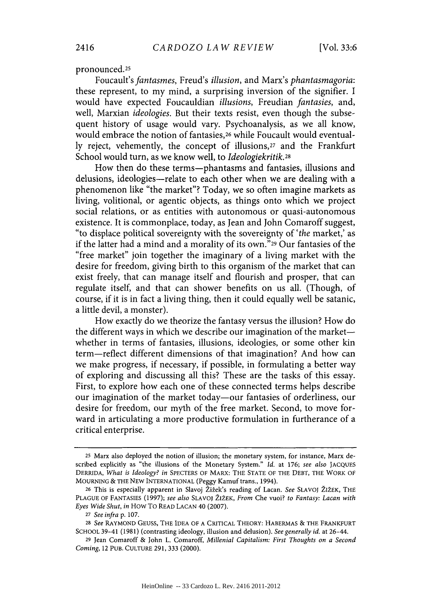pronounced.25

Foucault's *fan tasmes, Freud's illusion,* and Marx's *phantasmagoria:* these represent, to my mind, a surprising inversion of the signifier. **I** would have expected Foucauldian *illusions, Freudian fantasies, and,* well, Marxian *ideologies.* But their texts resist, even though the subsequent history of usage would vary. Psychoanalysis, as we all know, would embrace the notion of fantasies,<sup>26</sup> while Foucault would eventual**ly** reject, vehemently, the concept of illusions,27 and the Frankfurt School would turn, as we know well, to *Ideologiekritik.28*

How then do these terms-phantasms and fantasies, illusions and delusions, ideologies--relate to each other when we are dealing with a phenomenon like "the market"? Today, we so often imagine markets as living, volitional, or agentic objects, as things onto which we project social relations, or as entities with autonomous or quasi-autonomous existence. It is commonplace, today, as Jean and John Comaroff suggest, "to displace political sovereignty with the sovereignty of *'the* market,' as if the latter had a mind and a morality of its own."29 Our fantasies of the "free market" join together the imaginary of a living market with the desire for freedom, giving birth to this organism of the market that can exist freely, that can manage itself and flourish and prosper, that can regulate itself, and that can shower benefits on us all. (Though, of course, if it is in fact a living thing, then it could equally well be satanic, a little devil, a monster).

How exactly do we theorize the fantasy versus the illusion? How do the different ways in which we describe our imagination of the marketwhether in terms of fantasies, illusions, ideologies, or some other kin term-reflect different dimensions of that imagination? And how can we make progress, if necessary, if possible, in formulating a better way of exploring and discussing all this? These are the tasks of this essay. First, to explore how each one of these connected terms helps describe our imagination of the market today-our fantasies of orderliness, our desire for freedom, our myth of the free market. Second, to move forward in articulating a more productive formulation in furtherance of a critical enterprise.

**<sup>25</sup>** Marx also deployed the notion of illusion; the monetary system, for instance, Marx described explicitly as "the illusions of the Monetary System." *Id.* at **176;** *see also* **JACQUES** DERRIDA, *What is Ideology? in* **SPECTERS** OF MARX: THE **STATE** OF THE DEBT, THE WORK OF **MOURNING** *&* THE **NEW** INTERNATIONAL (Peggy Kamuf trans., 1994).

**<sup>26</sup>**This is especially apparent in Slavoj Ziiek's reading of Lacan. See **SLAVOJ** 212EK, THE **PLAGUE** OF FANTASIES **(1997);** *see also* **SLAVOJ Z12EK,** *From* Che vuoi? *to Fantasy: Lacan with Eyes Wide Shut, in* How To READ **LACAN** 40 **(2007).**

*<sup>27</sup>See infra p.* **107.**

<sup>28</sup> See RAYMOND GEUSS, THE **IDEA** OF **A** CRITICAL THEORY: HABERMAS *&* THE FRANKFURT **SCHOOL** 39-41 **(1981)** (contrasting ideology, illusion and delusion). *See generally id.* at 26-44.

**<sup>29</sup>**Jean Comaroff *&* John L. Comaroff, *Millenial Capitalism: First Thoughts on a Second Coming,* 12 **PUB.** CULTURE **291, 333** (2000).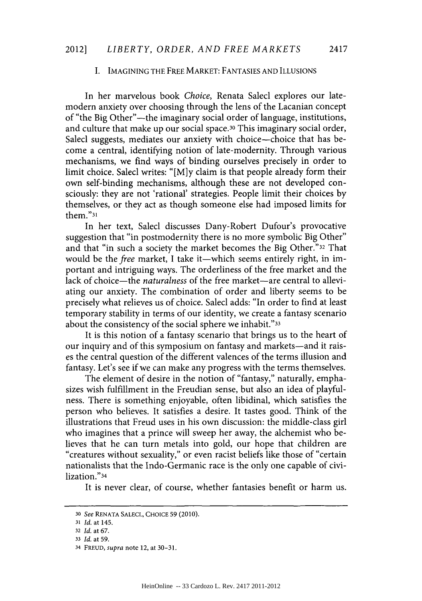#### **I. IMAGINING** THE FREE MARKET: **FANTASIES AND ILLUSIONS**

In her marvelous book *Choice,* Renata Salecl explores our latemodern anxiety over choosing through the lens of the Lacanian concept of "the Big Other"-the imaginary social order of language, institutions, and culture that make up our social space.<sup>30</sup> This imaginary social order, Salecl suggests, mediates our anxiety with choice-choice that has become a central, identifying notion of late-modernity. Through various mechanisms, we find ways of binding ourselves precisely in order to limit choice. Salecl writes: **"[M]y** claim is that people already form their own self-binding mechanisms, although these are not developed consciously: they are not 'rational' strategies. People limit their choices **by** themselves, or they act as though someone else had imposed limits for them."31

In her text, Salecl discusses Dany-Robert Dufour's provocative suggestion that "in postmodernity there is no more symbolic Big Other" and that "in such a society the market becomes the Big Other."32 That would be the free market, I take it-which seems entirely right, in important and intriguing ways. The orderliness of the free market and the lack of choice—the *naturalness* of the free market—are central to alleviating our anxiety. The combination of order and liberty seems to be precisely what relieves us of choice. Salecl adds: "In order to find at least temporary stability in terms of our identity, we create a fantasy scenario about the consistency of the social sphere we inhabit."33

It is this notion of a fantasy scenario that brings us to the heart of our inquiry and of this symposium on fantasy and markets-and it raises the central question of the different valences of the terms illusion and fantasy. Let's see if we can make any progress with the terms themselves.

The element of desire in the notion of "fantasy," naturally, emphasizes wish fulfillment in the Freudian sense, but also an idea of playfulness. There is something enjoyable, often libidinal, which satisfies the person who believes. It satisfies a desire. It tastes good. Think of the illustrations that Freud uses in his own discussion: the middle-class girl who imagines that a prince will sweep her away, the alchemist who believes that he can turn metals into gold, our hope that children are "creatures without sexuality," or even racist beliefs like those of "certain nationalists that the Indo-Germanic race is the only one capable of civilization."34

It is never clear, of course, whether fantasies benefit or harm us.

**<sup>30</sup>***See* **RENATA SALECL, CHOICE 59** (2010).

**<sup>31</sup>***Id. at* 145.

**<sup>32</sup>***Id. at 67.*

**<sup>33</sup>***Id. at 59.*

<sup>34</sup>**FREUD,** *supra* note 12, *at* **30-31.**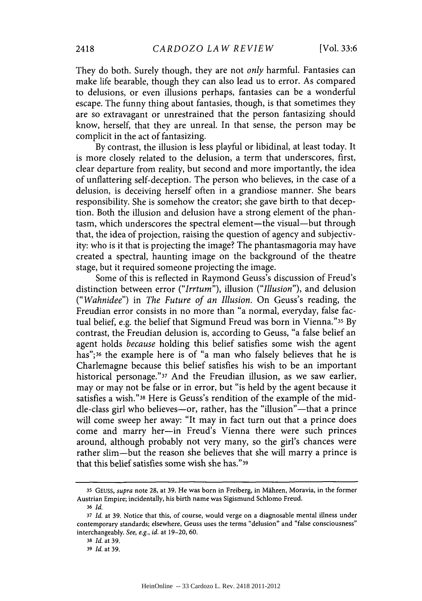They do both. Surely though, they are not *only* harmful. Fantasies can make life bearable, though they can also lead us to error. As compared to delusions, or even illusions perhaps, fantasies can be a wonderful escape. The funny thing about fantasies, though, is that sometimes they are so extravagant or unrestrained that the person fantasizing should know, herself, that they are unreal. In that sense, the person may be complicit in the act of fantasizing.

**By** contrast, the illusion is less playful or libidinal, at least today. It is more closely related to the delusion, a term that underscores, first, clear departure from reality, but second and more importantly, the idea of unflattering self-deception. The person who believes, in the case of a delusion, is deceiving herself often in a grandiose manner. She bears responsibility. She is somehow the creator; she gave birth to that deception. Both the illusion and delusion have a strong element of the phantasm, which underscores the spectral element—the visual—but through that, the idea of projection, raising the question of agency and subjectivity: who is it that is projecting the image? The phantasmagoria may have created a spectral, haunting image on the background of the theatre stage, but it required someone projecting the image.

Some of this is reflected in Raymond Geuss's discussion of Freud's distinction between error *("Irrtum"), illusion ("Illusion"),* and delusion *("Wahnidee") in The Future of an Illusion.* On Geuss's reading, the Freudian error consists in no more than "a normal, everyday, false factual belief, e.g. the belief that Sigmund Freud was born in Vienna."35 **By** contrast, the Freudian delusion is, according to Geuss, "a false belief an agent holds *because* holding this belief satisfies some wish the agent has";36 the example here is of "a man who falsely believes that he is Charlemagne because this belief satisfies his wish to be an important historical personage."37 And the Freudian illusion, as we saw earlier, may or may not be false or in error, but "is held **by** the agent because it satisfies a wish."38 Here is Geuss's rendition of the example of the middle-class girl who believes-or, rather, has the "illusion"-that a prince will come sweep her away: "It may in fact turn out that a prince does come and marry her-in Freud's Vienna there were such princes around, although probably not very many, so the girl's chances were rather slim-but the reason she believes that she will marry a prince is that this belief satisfies some wish she has."39

**<sup>35</sup>GEUsS,** *supra* note **28,** at **39.** He was born in Freiberg, in Mhren, Moravia, in the former Austrian Empire; incidentally, his birth name was Sigismund Schlomo Freud.

**<sup>36</sup>** *Id.*

**<sup>37</sup>**Id. at **39.** Notice that this, of course, would verge on a diagnosable mental illness under contemporary standards; elsewhere, Geuss uses the terms "delusion" and "false consciousness" interchangeably. *See, e.g., id.* at **19-20, 60.**

**<sup>38</sup>***Id.* at **39.**

**<sup>39</sup>***Id.* at **39.**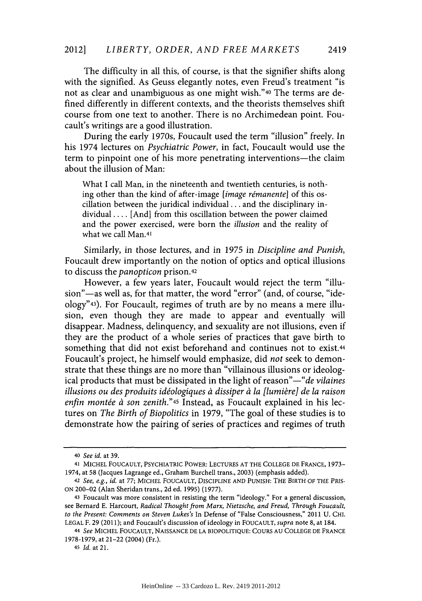The difficulty in all this, of course, is that the signifier shifts along with the signified. As Geuss elegantly notes, even Freud's treatment "is not as clear and unambiguous as one might wish."40 The terms are defined differently in different contexts, and the theorists themselves shift course from one text to another. There is no Archimedean point. Foucault's writings are a good illustration.

During the early 1970s, Foucault used the term "illusion" freely. In his 1974 lectures on *Psychiatric Power,* in fact, Foucault would use the term to pinpoint one of his more penetrating interventions—the claim about the illusion of Man:

What I call Man, in the nineteenth and twentieth centuries, is nothing other than the kind of after-image [image rémanente] of this oscillation between the juridical individual **...** and the disciplinary individual **....** [And] from this oscillation between the power claimed and the power exercised, were born the *illusion* and the reality of what we call Man.41

Similarly, in those lectures, and in *1975* in *Discipline and Punish,* Foucault drew importantly on the notion of optics and optical illusions to discuss *the panopticon* prison.42

However, a few years later, Foucault would reject the term "illusion"-as well as, for that matter, the word "error" (and, of course, "ide**ology"43).** For Foucault, regimes of truth are **by** no means a mere illusion, even though they are made to appear and eventually will disappear. Madness, delinquency, and sexuality are not illusions, even if they are the product of a whole series of practices that gave birth to something that did not exist beforehand and continues not to exist.<sup>44</sup> Foucault's project, he himself would emphasize, did *not* seek to demonstrate that these things are no more than "villainous illusions or ideological products that must be dissipated in the light of reason"—"*de vilaines illusions ou des produits idéologiques à dissiper à la [lumière] de la raison enfin montée à son zenith.*"<sup>45</sup> Instead, as Foucault explained in his lectures on *The Birth of Biopolitics* in **1979,** "The goal of these studies is to demonstrate how the pairing of series of practices and regimes of truth

*<sup>40</sup>See id. at* **39.**

**<sup>41</sup> MICHEL FOUCAULT,** PSYCHIATRIC POWER: **LECTURES AT** THE **COLLEGE DE FRANCE, 1973-** 1974, at **58** (Jacques Lagrange ed., Graham Burchell trans., **2003)** (emphasis added).

*<sup>42</sup>* See, e.g., *id.* at **77; MICHEL** FOUCAULT, DISCIPLINE **AND PUNISH:** THE BIRTH OF THE PRIS-**ON 200-02** (Alan Sheridan trans., **2d** ed. **1995) (1977).**

**<sup>43</sup>**Foucault was more consistent in resisting the term "ideology." For a general discussion, see Bernard **E.** Harcourt, *Radical Thought from Marx, Nietzsche, and Freud, Through Foucault, to the Present: Comments on Steven Lukes's* In Defense of "False Consciousness," 2011 **U. CHI. LEGAL** F. **29 (2011);** and Foucault's discussion of ideology in **FOUCAULT,** *supra* note **8,** at 184.

**<sup>44</sup>***See* MICHEL FOUCAULT, **NAISSANCE DE LA** BIOPOLITIQUE: **COURS AU COLLEGE DE FRANCE 1978-1979,** at 21-22 (2004) (Fr.).

**<sup>45</sup>***Id.* at **21.**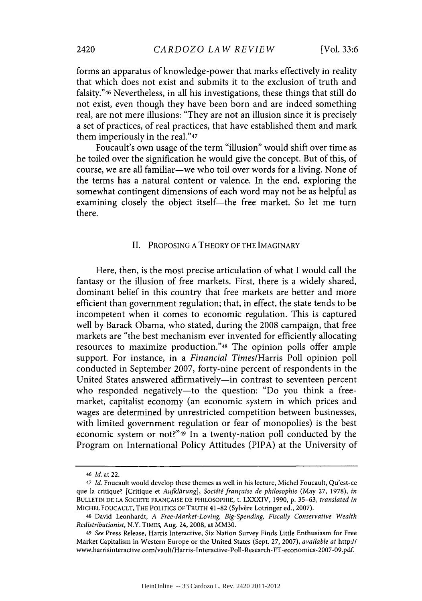forms an apparatus of knowledge-power that marks effectively in reality that which does not exist and submits it to the exclusion of truth and falsity."46 Nevertheless, in all his investigations, these things that still do not exist, even though they have been born and are indeed something real, are not mere illusions: "They are not an illusion since it is precisely a set of practices, of real practices, that have established them and mark them imperiously in the real."47

Foucault's own usage of the term "illusion" would shift over time as he toiled over the signification he would give the concept. But of this, of course, we are all familiar-we who toil over words for a living. None of the terms has a natural content or valence. In the end, exploring the somewhat contingent dimensions of each word may not be as helpful as examining closely the object itself—the free market. So let me turn there.

#### **II.** PROPOSING **A** THEORY OF THE IMAGINARY

Here, then, is the most precise articulation of what **I** would call the fantasy or the illusion of free markets. First, there is a widely shared, dominant belief in this country that free markets are better and more efficient than government regulation; that, in effect, the state tends to be incompetent when it comes to economic regulation. This is captured well **by** Barack Obama, who stated, during the **2008** campaign, that free markets are "the best mechanism ever invented for efficiently allocating resources to maximize production."48 The opinion polls offer ample support. For instance, in a *Financial Times/Harris* Poll opinion poll conducted in September **2007,** forty-nine percent of respondents in the United States answered affirmatively-in contrast to seventeen percent who responded negatively—to the question: "Do you think a freemarket, capitalist economy (an economic system in which prices and wages are determined **by** unrestricted competition between businesses, with limited government regulation or fear of monopolies) is the best economic system or not?"49 In a twenty-nation poll conducted **by** the Program on International Policy Attitudes (PIPA) at the University of

<sup>46</sup>*Id. at* 22.

<sup>47</sup>*Id.* Foucault would develop these themes as well in his lecture, Michel Foucault, Qu'est-ce que la critique? [Critique et *Aufldrung], Socidtdfranfaise de philosophie* (May **27, 1978),** *in* **BULLETIN DE LA SOCIETE** FRANQAISE **DE** PHILOSOPHIE, t. LXXXIV, **1990, p. 35-63,** *translated in* MICHEL FOUCAULT, THE POLITICS OF TRUTH 41-82 (Sylvère Lotringer ed., 2007).

<sup>48</sup> David Leonhardt, *A Free-Market-Loving, Big-Spending, Fiscally Conservative Wealth Redistributionist,* N.Y. TIMES, Aug. 24, **2008,** at MM30.

<sup>49</sup>*See* Press Release, Harris Interactive, Six Nation Survey Finds Little Enthusiasm for Free Market Capitalism in Western Europe or the United States (Sept. **27, 2007),** *available at* http:// www.harrisinteractive.com/vault/Harris-Interactive- Poll-Research-FT-economics-2007-09.pdf.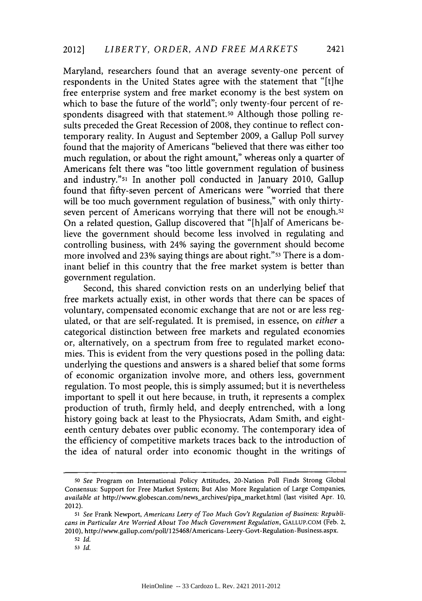Maryland, researchers found that an average seventy-one percent of respondents in the United States agree with the statement that "[tihe free enterprise system and free market economy is the best system on which to base the future of the world"; only twenty-four percent of respondents disagreed with that statement.<sup>50</sup> Although those polling results preceded the Great Recession of **2008,** they continue to reflect contemporary reality. In August and September **2009,** a Gallup Poll survey found that the majority of Americans "believed that there was either too much regulation, or about the right amount," whereas only a quarter of Americans felt there was "too little government regulation of business and industry."51 In another poll conducted in January 2010, Gallup found that fifty-seven percent of Americans were "worried that there will be too much government regulation of business," with only thirtyseven percent of Americans worrying that there will not be enough.<sup>52</sup> On a related question, Gallup discovered that "[h]alf of Americans believe the government should become less involved in regulating and controlling business, with 24% saying the government should become more involved and 23% saying things are about right."<sup>53</sup> There is a dominant belief in this country that the free market system is better than government regulation.

Second, this shared conviction rests on an underlying belief that free markets actually exist, in other words that there can be spaces of voluntary, compensated economic exchange that are not or are less regulated, or that are self-regulated. It is premised, in essence, on *either a* categorical distinction between free markets and regulated economies or, alternatively, on a spectrum from free to regulated market economies. This is evident from the very questions posed in the polling data: underlying the questions and answers is a shared belief that some forms of economic organization involve more, and others less, government regulation. To most people, this is simply assumed; but it is nevertheless important to spell it out here because, in truth, it represents a complex production of truth, firmly held, and deeply entrenched, with a long history going back at least to the Physiocrats, Adam Smith, and eighteenth century debates over public economy. The contemporary idea of the efficiency of competitive markets traces back to the introduction of the idea of natural order into economic thought in the writings of

*<sup>50</sup>See* Program on International Policy Attitudes, 20-Nation Poll Finds Strong Global Consensus: Support for Free Market System; But Also More Regulation of Large Companies, *available at* http://www.globescan.com/news-archives/pipamarket.html (last visited Apr. **10,** 2012).

*<sup>51</sup> See* Frank Newport, *Americans Leery of Too Much Gov't Regulation of Business: Republicans in Particular Are Worried About Too Much Government Regulation,* **GALLUP.COM** (Feb. 2, 2010), http://www.gallup.com/poll/1 25468/Americans- Leery-Govt-Regulation-Business.aspx.

**<sup>52</sup>***Id.*

**<sup>53</sup>***Id.*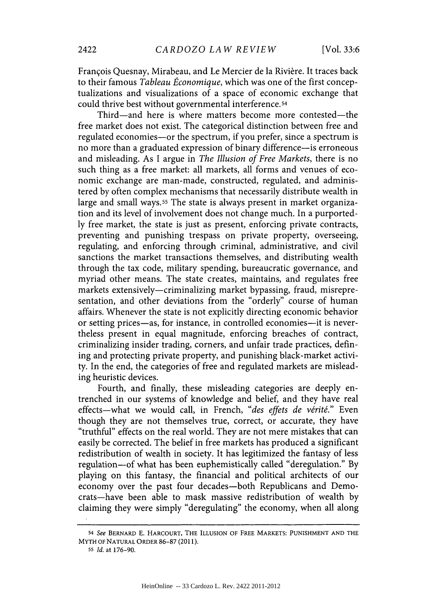François Quesnay, Mirabeau, and Le Mercier de la Rivière. It traces back to their famous *Tableau Économique*, which was one of the first conceptualizations and visualizations of a space of economic exchange that could thrive best without governmental interference. **54**

Third-and here is where matters become more contested-the free market does not exist. The categorical distinction between free and regulated economies-or the spectrum, if you prefer, since a spectrum is no more than a graduated expression of binary difference-is erroneous and misleading. As **I** argue in *The Illusion of Free Markets,* there is no such thing as a free market: all markets, all forms and venues of economic exchange are man-made, constructed, regulated, and administered **by** often complex mechanisms that necessarily distribute wealth in large and small ways.<sup>55</sup> The state is always present in market organization and its level of involvement does not change much. In a purported**ly** free market, the state is just as present, enforcing private contracts, preventing and punishing trespass on private property, overseeing, regulating, and enforcing through criminal, administrative, and civil sanctions the market transactions themselves, and distributing wealth through the tax code, military spending, bureaucratic governance, and myriad other means. The state creates, maintains, and regulates free markets extensively—criminalizing market bypassing, fraud, misrepresentation, and other deviations from the "orderly" course of human affairs. Whenever the state is not explicitly directing economic behavior or setting prices-as, for instance, in controlled economies-it is nevertheless present in equal magnitude, enforcing breaches of contract, criminalizing insider trading, corners, and unfair trade practices, defining and protecting private property, and punishing black-market activity. In the end, the categories of free and regulated markets are misleading heuristic devices.

Fourth, and finally, these misleading categories are deeply entrenched in our systems of knowledge and belief, and they have real effects-what we would call, in French, "des effets de vérité." Even though they are not themselves true, correct, or accurate, they have "truthful" effects on the real world. They are not mere mistakes that can easily be corrected. The belief in free markets has produced a significant redistribution of wealth in society. It has legitimized the fantasy of less regulation-of what has been euphemistically called "deregulation." **By** playing on this fantasy, the financial and political architects of our economy over the past four decades-both Republicans and Democrats-have been able to mask massive redistribution of wealth **by** claiming they were simply "deregulating" the economy, when all along

**<sup>54</sup>** *See* **BERNARD E. HARCOURT, THE ILLUSION OF FREE MARKETS: PUNISHMENT AND THE MYTH OF NATURAL ORDER 86-87 (2011).**

**<sup>55</sup>***Id. at* **176-90.**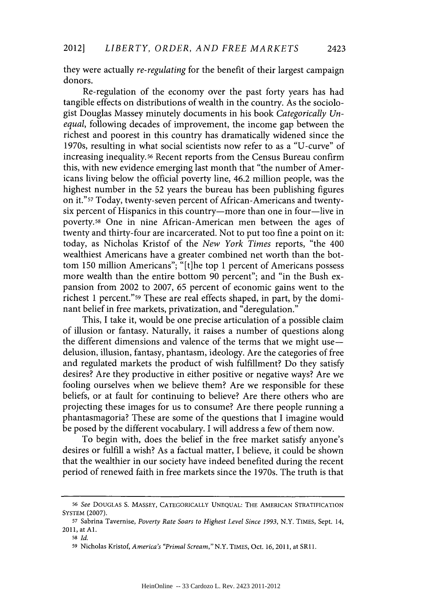they were actually *re-regulating* for the benefit of their largest campaign donors.

Re-regulation of the economy over the past forty years has had tangible effects on distributions of wealth in the country. As the sociologist Douglas Massey minutely documents in his book *Categorically Unequal,* following decades of improvement, the income gap between the richest and poorest in this country has dramatically widened since the 1970s, resulting in what social scientists now refer to as a "U-curve" of increasing inequality.56 Recent reports from the Census Bureau confirm this, with new evidence emerging last month that "the number of Americans living below the official poverty line, 46.2 million people, was the highest number in the **52** years the bureau has been publishing figures on it."s? Today, twenty-seven percent of African-Americans and twentysix percent of Hispanics in this country-more than one in four-live in poverty.58 One in nine African-American men between the ages of twenty and thirty-four are incarcerated. Not to put too fine a point on it: today, as Nicholas Kristof of the *New York Times* reports, "the 400 wealthiest Americans have a greater combined net worth than the bottom **150** million Americans"; "[t]he top 1 percent of Americans possess more wealth than the entire bottom **90** percent"; and "in the Bush expansion from 2002 to **2007, 65** percent of economic gains went to the richest 1 percent."59 These are real effects shaped, in part, **by** the dominant belief in free markets, privatization, and "deregulation."

This, **I** take it, would be one precise articulation of a possible claim of illusion or fantasy. Naturally, it raises a number of questions along the different dimensions and valence of the terms that we might use $$ delusion, illusion, fantasy, phantasm, ideology. Are the categories of free and regulated markets the product of wish fulfillment? Do they satisfy desires? Are they productive in either positive or negative ways? Are we fooling ourselves when we believe them? Are we responsible for these beliefs, or at fault for continuing to believe? Are there others who are projecting these images for us to consume? Are there people running a phantasmagoria? These are some of the questions that **I** imagine would be posed **by** the different vocabulary. **I** will address a few of them now.

To begin with, does the belief in the free market satisfy anyone's desires or fulfill a wish? As a factual matter, **I** believe, it could be shown that the wealthier in our society have indeed benefited during the recent period of renewed faith in free markets since the 1970s. The truth is that

*<sup>56</sup>See* **DOUGLAS S. MASSEY,** CATEGORICALLY **UNEQUAL:** THE **AMERICAN** STRATIFICATION SYSTEM **(2007).**

**<sup>57</sup>**Sabrina Tavernise, *Poverty Rate Soars to Highest Level Since 1993,* N.Y. **TIMES,** Sept. 14, **2011,** at **Al.**

**<sup>58</sup>***Id.*

**<sup>59</sup>**Nicholas Kristof, *America's "Primal Scream,"N.Y.* TIMES, Oct. **16, 2011,** at SR11.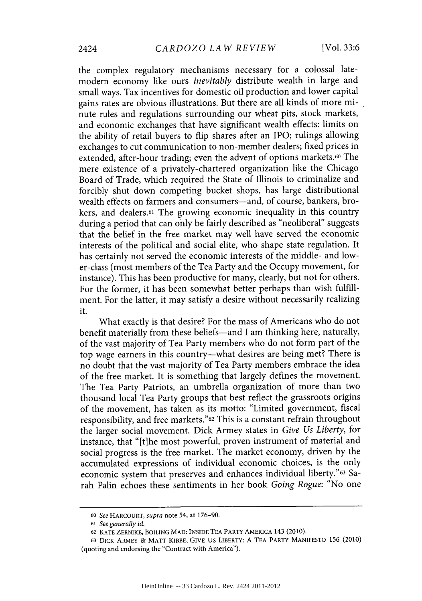the complex regulatory mechanisms necessary for a colossal latemodern economy like ours *inevitably* distribute wealth in large and small ways. Tax incentives for domestic oil production and lower capital gains rates are obvious illustrations. But there are all kinds of more minute rules and regulations surrounding our wheat pits, stock markets, and economic exchanges that have significant wealth effects: limits on the ability of retail buyers to flip shares after an IPO; rulings allowing exchanges to cut communication to non-member dealers; fixed prices in extended, after-hour trading; even the advent of options markets.<sup>60</sup> The mere existence of a privately-chartered organization like the Chicago Board of Trade, which required the State of Illinois to criminalize and forcibly shut down competing bucket shops, has large distributional wealth effects on farmers and consumers-and, of course, bankers, brokers, and dealers.61 The growing economic inequality in this country during a period that can only be fairly described as "neoliberal" suggests that the belief in the free market may well have served the economic interests of the political and social elite, who shape state regulation. It has certainly not served the economic interests of the middle- and lower-class (most members of the Tea Party and the Occupy movement, for instance). This has been productive for many, clearly, but not for others. For the former, it has been somewhat better perhaps than wish fulfillment. For the latter, it may satisfy a desire without necessarily realizing it.

What exactly is that desire? For the mass of Americans who do not benefit materially from these beliefs—and I am thinking here, naturally, of the vast majority of Tea Party members who do not form part of the top wage earners in this country-what desires are being met? There is no doubt that the vast majority of Tea Party members embrace the idea of the free market. It is something that largely defines the movement. The Tea Party Patriots, an umbrella organization of more than two thousand local Tea Party groups that best reflect the grassroots origins of the movement, has taken as its motto: "Limited government, fiscal responsibility, and free markets."62 This is a constant refrain throughout the larger social movement. Dick Armey states in *Give Us Liberty, for* instance, that "[t]he most powerful, proven instrument of material and social progress is the free market. The market economy, driven **by** the accumulated expressions of individual economic choices, is the only economic system that preserves and enhances individual liberty."63 Sarah Palin echoes these sentiments in her book *Going Rogue:* "No one

*<sup>60</sup>See* HARCOURT, *supra* **note** 54, **at 176-90.**

*<sup>61</sup>See generally id.*

**<sup>62</sup>**KATE ZERNIKE, **BOILING** MAD: **INSIDE TEA** PARTY AMERICA 143 (2010).

**<sup>63</sup>** DICK ARMEY **&** MATT KIBBE, GIVE **US** LIBERTY: **A TEA** PARTY MANIFESTO **156** (2010) **(quoting and endorsing the "Contract with America").**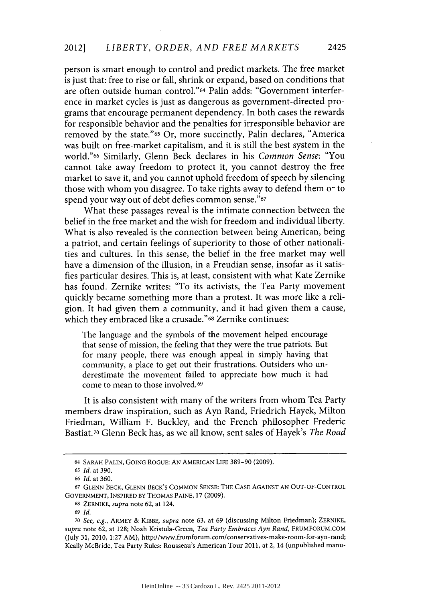person is smart enough to control and predict markets. The free market is just that: free to rise or fall, shrink or expand, based on conditions that are often outside human control."64 Palin adds: "Government interference in market cycles is just as dangerous as government-directed programs that encourage permanent dependency. In both cases the rewards for responsible behavior and the penalties for irresponsible behavior are removed **by** the state."65 Or, more succinctly, Palin declares, "America was built on free-market capitalism, and it is still the best system in the world."66 Similarly, Glenn Beck declares in his *Common Sense:* "You cannot take away freedom to protect it, **you** cannot destroy the free market to save it, and you cannot uphold freedom of speech **by** silencing those with whom you disagree. To take rights away to defend them or to spend your way out of debt defies common sense."67

What these passages reveal is the intimate connection between the belief in the free market and the wish for freedom and individual liberty. What is also revealed is the connection between being American, being a patriot, and certain feelings of superiority to those of other nationalities and cultures. In this sense, the belief in the free market may well have a dimension of the illusion, in a Freudian sense, insofar as it satisfies particular desires. This is, at least, consistent with what Kate Zernike has found. Zernike writes: "To its activists, the Tea Party movement quickly became something more than a protest. It was more like a religion. It had given them a community, and it had given them a cause, which they embraced like a crusade."68 Zernike continues:

The language and the symbols of the movement helped encourage that sense of mission, the feeling that they were the true patriots. But for many people, there was enough appeal in simply having that community, a place to get out their frustrations. Outsiders who underestimate the movement failed to appreciate how much it had come to mean to those involved.69

It is also consistent with many of the writers from whom Tea Party members draw inspiration, such as Ayn Rand, Friedrich Hayek, Milton Friedman, William F. Buckley, and the French philosopher Frederic Bastiat.70 Glenn Beck has, as we all know, sent sales of Hayek's *The Road*

**<sup>64</sup>**SARAH **PALIN,** GOING **ROGUE: AN** AMERICAN LIFE **389-90 (2009).**

**<sup>65</sup>***Id.* at **390.**

**<sup>66</sup>***Id.* at **360.**

**<sup>67</sup>GLENN** BECK, **GLENN** BECK'S **COMMON SENSE:** THE CASE **AGAINST AN OUT-OF-CONTROL** GOVERNMENT, INSPIRED BY **THOMAS** PAINE, **17 (2009).**

**<sup>68</sup>**ZERNIKE, *supra* note **62,** at 124.

**<sup>69</sup>** *Id.*

**<sup>70</sup>***See, e.g.,* ARMEY **&** KIBBE, *supra* note **63,** at **69** (discussing Milton Friedman); ZERNIKE, *supra* note **62,** at **128;** Noah Kristula-Green, *Tea Party Embraces Ayn Rand,* FRUMFORUM.COM (July **31,** 2010, **1:27** AM), http://www.frumforum.com/conservatives-make-room-for- ayn -rand; Keally McBride, Tea Party Rules: Rousseau's American Tour **2011,** at 2, 14 (unpublished manu-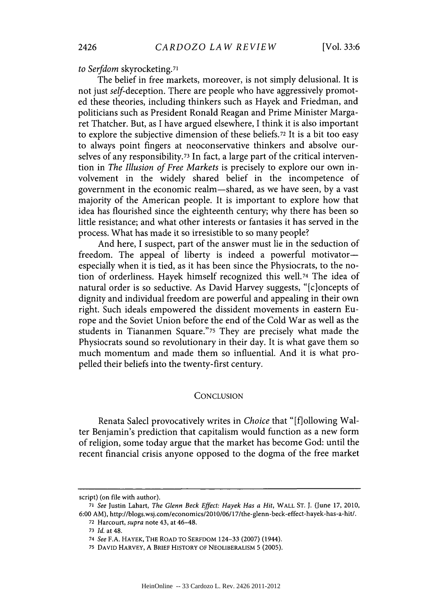*to Serfdom* skyrocketing.71

The belief in free markets, moreover, is not simply delusional. It is not just self-deception. There are people who have aggressively promoted these theories, including thinkers such as Hayek and Friedman, and politicians such as President Ronald Reagan and Prime Minister Margaret Thatcher. But, as **I** have argued elsewhere, I think it is also important to explore the subjective dimension of these beliefs.72 It is a bit too easy to always point fingers at neoconservative thinkers and absolve ourselves of any responsibility. **73** In fact, a large part of the critical intervention in *The Illusion of Free Markets* is precisely to explore our own involvement in the widely shared belief in the incompetence of government in the economic realm-shared, as we have seen, **by** a vast majority of the American people. It is important to explore how that idea has flourished since the eighteenth century; why there has been so little resistance; and what other interests or fantasies it has served in the process. What has made it so irresistible to so many people?

And here, **I** suspect, part of the answer must lie in the seduction of freedom. The appeal of liberty is indeed a powerful motivatorespecially when it is tied, as it has been since the Physiocrats, to the notion of orderliness. Hayek himself recognized this well.74 The idea of natural order is so seductive. As David Harvey suggests, "[c]oncepts of dignity and individual freedom are powerful and appealing in their own right. Such ideals empowered the dissident movements in eastern Europe and the Soviet Union before the end of the Cold War as well as the students in Tiananmen Square."75 They are precisely what made the Physiocrats sound so revolutionary in their day. It is what gave them so much momentum and made them so influential. And it is what propelled their beliefs into the twenty-first century.

#### **CONCLUSION**

Renata Salecl provocatively writes in *Choice* that "[flollowing Walter Benjamin's prediction that capitalism would function as a new form of religion, some today argue that the market has become God: until the recent financial crisis anyone opposed to the dogma of the free market

script) (on file with author).

*<sup>71</sup>See* Justin Lahart, *The Glenn Beck Effect: Hayek Has a Hit,* WALL **ST. J.** (June **17,** 2010, **6:00** AM), http://blogs.wsj.com/economics/2010/06/17/the-glenn-beck-effect-hayek-has-a-hit/.

**<sup>72</sup>**Harcourt, *supra* note 43, at 46-48.

**<sup>73</sup>***Id.* at 48.

**<sup>74</sup>***See* **F.A.** HAYEK, THE ROAD TO SERFDOM 124-33 **(2007)** (1944).

**<sup>75</sup> DAVID** HARVEY, **A** BRIEF HISTORY OF NEOLIBERALISM **5 (2005).**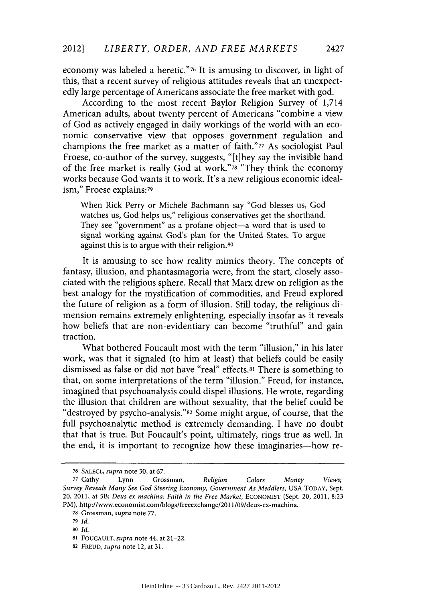economy was labeled a heretic."76 It is amusing to discover, in light of this, that a recent survey of religious attitudes reveals that an unexpectedly large percentage of Americans associate the free market with god.

According to the most recent Baylor Religion Survey of 1,714 American adults, about twenty percent of Americans "combine a view of God as actively engaged in daily workings of the world with an economic conservative view that opposes government regulation and champions the free market as a matter of faith."77 As sociologist Paul Froese, co-author of the survey, suggests, "[t]hey say the invisible hand of the free market is really God at work."78 "They think the economy works because God wants it to work. It's a new religious economic idealism," Froese explains:79

When Rick Perry or Michele Bachmann say "God blesses us, God watches **us,** God helps us," religious conservatives get the shorthand. They see "government" as a profane object-a word that is used to signal working against God's plan for the United States. To argue against this is to argue with their religion.80

It is amusing to see how reality mimics theory. The concepts of fantasy, illusion, and phantasmagoria were, from the start, closely associated with the religious sphere. Recall that Marx drew on religion as the best analogy for the mystification of commodities, and Freud explored the future of religion as a form of illusion. Still today, the religious dimension remains extremely enlightening, especially insofar as it reveals how beliefs that are non-evidentiary can become "truthful" and gain traction.

What bothered Foucault most with the term "illusion," in his later work, was that it signaled (to him at least) that beliefs could be easily dismissed as false or did not have "real" **effects.81** There is something to that, on some interpretations of the term "illusion." Freud, for instance, imagined that psychoanalysis could dispel illusions. He wrote, regarding the illusion that children are without sexuality, that the belief could be "destroyed **by** psycho-analysis."82 Some might argue, of course, that the full psychoanalytic method is extremely demanding. **I** have no doubt that that is true. But Foucault's point, ultimately, rings true as well. In the end, it is important to recognize how these imaginaries-how re-

**<sup>76</sup> SALECL,** *supra* note **30,** at **67.**

**<sup>77</sup>**Cathy Lynn Grossman, *Religion Colors Money Views; Survey Reveals Many See God Steering Economy, Government As Meddlers,* **USA TODAY,** Sept. 20, 2011, at 5B; *Deus ex machina: Faith in the Free Market,* **ECONOMIST** (Sept. 20, 2011, **8:23** PM), http://www.economist.com/blogs/freeexchange/2011/09/deus-ex-machina.

**<sup>78</sup>**Grossman, *supra* note **77.**

**<sup>79</sup>***Id.*

**<sup>80</sup>***Id.*

**<sup>81</sup> FOUCAULT,** *supra* note 44, at 21-22.

**<sup>82</sup> FREUD,** *supra* note 12, at **31.**